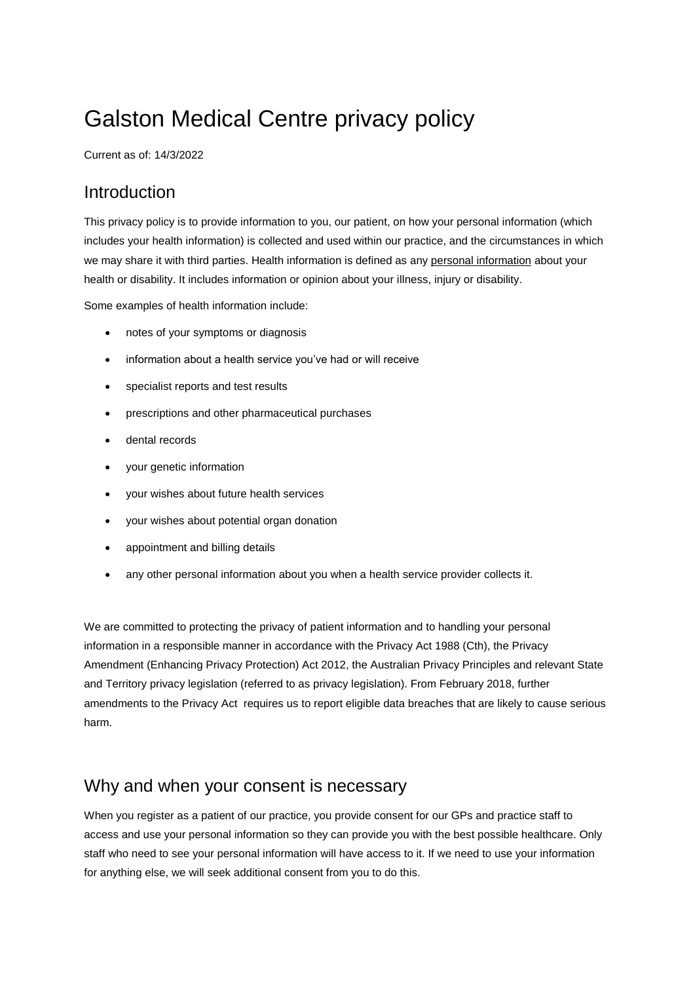# Galston Medical Centre privacy policy

Current as of: 14/3/2022

#### Introduction

This privacy policy is to provide information to you, our patient, on how your personal information (which includes your health information) is collected and used within our practice, and the circumstances in which we may share it with third parties. Health information is defined as any [personal information](https://www.oaic.gov.au/privacy/your-privacy-rights/your-personal-information/what-is-personal-information) about your health or disability. It includes information or opinion about your illness, injury or disability.

Some examples of health information include:

- notes of your symptoms or diagnosis
- information about a health service you've had or will receive
- specialist reports and test results
- prescriptions and other pharmaceutical purchases
- dental records
- your genetic information
- your wishes about future health services
- your wishes about potential organ donation
- appointment and billing details
- any other [personal information](https://www.oaic.gov.au/privacy/your-privacy-rights/your-personal-information/what-is-personal-information) about you when a [health service provider](https://www.oaic.gov.au/privacy/health-information/what-is-a-health-service-provider) collects it.

We are committed to protecting the privacy of patient information and to handling your personal information in a responsible manner in accordance with the Privacy Act 1988 (Cth), the Privacy Amendment (Enhancing Privacy Protection) Act 2012, the Australian Privacy Principles and relevant State and Territory privacy legislation (referred to as privacy legislation). From February 2018, further amendments to the Privacy Act requires us to report eligible data breaches that are likely to cause serious harm.

#### Why and when your consent is necessary

When you register as a patient of our practice, you provide consent for our GPs and practice staff to access and use your personal information so they can provide you with the best possible healthcare. Only staff who need to see your personal information will have access to it. If we need to use your information for anything else, we will seek additional consent from you to do this.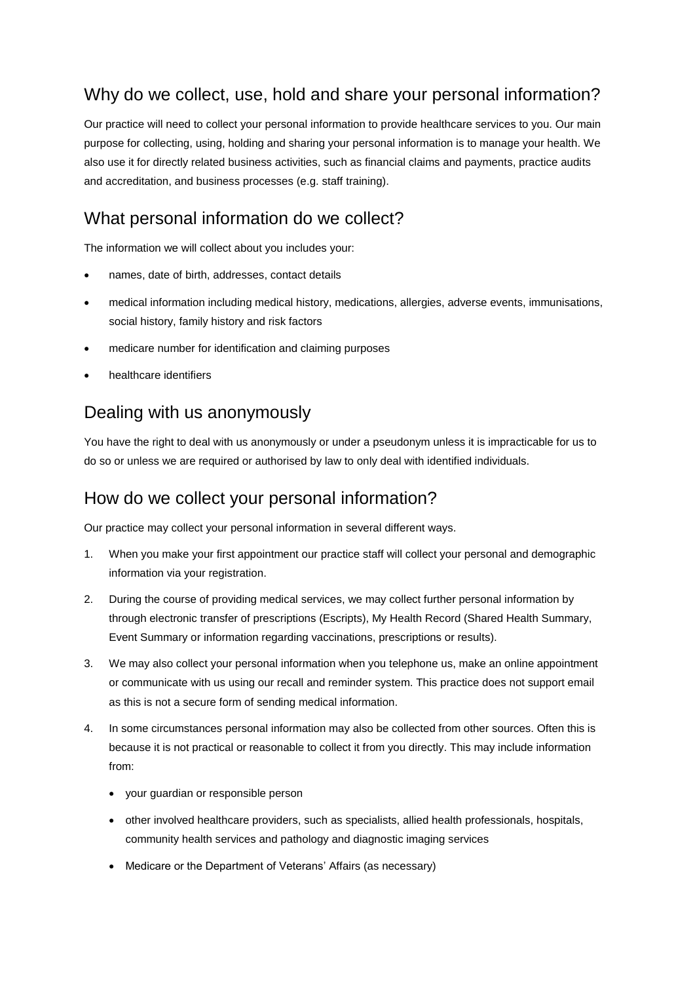### Why do we collect, use, hold and share your personal information?

Our practice will need to collect your personal information to provide healthcare services to you. Our main purpose for collecting, using, holding and sharing your personal information is to manage your health. We also use it for directly related business activities, such as financial claims and payments, practice audits and accreditation, and business processes (e.g. staff training).

#### What personal information do we collect?

The information we will collect about you includes your:

- names, date of birth, addresses, contact details
- medical information including medical history, medications, allergies, adverse events, immunisations, social history, family history and risk factors
- medicare number for identification and claiming purposes
- healthcare identifiers

#### Dealing with us anonymously

You have the right to deal with us anonymously or under a pseudonym unless it is impracticable for us to do so or unless we are required or authorised by law to only deal with identified individuals.

#### How do we collect your personal information?

Our practice may collect your personal information in several different ways.

- 1. When you make your first appointment our practice staff will collect your personal and demographic information via your registration.
- 2. During the course of providing medical services, we may collect further personal information by through electronic transfer of prescriptions (Escripts), My Health Record (Shared Health Summary, Event Summary or information regarding vaccinations, prescriptions or results).
- 3. We may also collect your personal information when you telephone us, make an online appointment or communicate with us using our recall and reminder system. This practice does not support email as this is not a secure form of sending medical information.
- 4. In some circumstances personal information may also be collected from other sources. Often this is because it is not practical or reasonable to collect it from you directly. This may include information from:
	- your guardian or responsible person
	- other involved healthcare providers, such as specialists, allied health professionals, hospitals, community health services and pathology and diagnostic imaging services
	- Medicare or the Department of Veterans' Affairs (as necessary)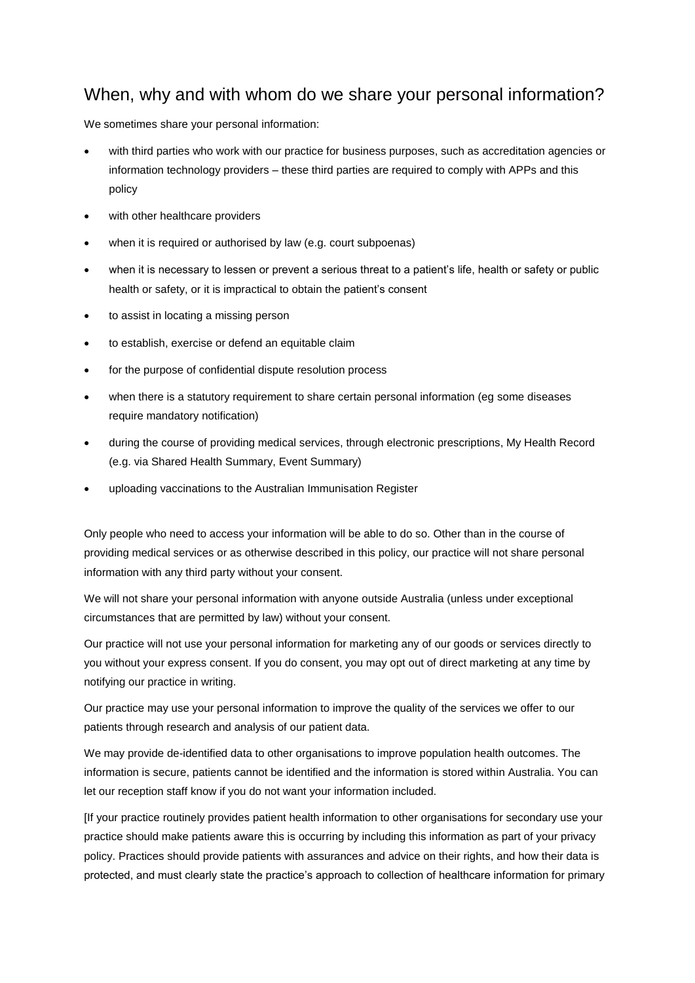#### When, why and with whom do we share your personal information?

We sometimes share your personal information:

- with third parties who work with our practice for business purposes, such as accreditation agencies or information technology providers – these third parties are required to comply with APPs and this policy
- with other healthcare providers
- when it is required or authorised by law (e.g. court subpoenas)
- when it is necessary to lessen or prevent a serious threat to a patient's life, health or safety or public health or safety, or it is impractical to obtain the patient's consent
- to assist in locating a missing person
- to establish, exercise or defend an equitable claim
- for the purpose of confidential dispute resolution process
- when there is a statutory requirement to share certain personal information (eg some diseases require mandatory notification)
- during the course of providing medical services, through electronic prescriptions, My Health Record (e.g. via Shared Health Summary, Event Summary)
- uploading vaccinations to the Australian Immunisation Register

Only people who need to access your information will be able to do so. Other than in the course of providing medical services or as otherwise described in this policy, our practice will not share personal information with any third party without your consent.

We will not share your personal information with anyone outside Australia (unless under exceptional circumstances that are permitted by law) without your consent.

Our practice will not use your personal information for marketing any of our goods or services directly to you without your express consent. If you do consent, you may opt out of direct marketing at any time by notifying our practice in writing.

Our practice may use your personal information to improve the quality of the services we offer to our patients through research and analysis of our patient data.

We may provide de-identified data to other organisations to improve population health outcomes. The information is secure, patients cannot be identified and the information is stored within Australia. You can let our reception staff know if you do not want your information included.

[If your practice routinely provides patient health information to other organisations for secondary use your practice should make patients aware this is occurring by including this information as part of your privacy policy. Practices should provide patients with assurances and advice on their rights, and how their data is protected, and must clearly state the practice's approach to collection of healthcare information for primary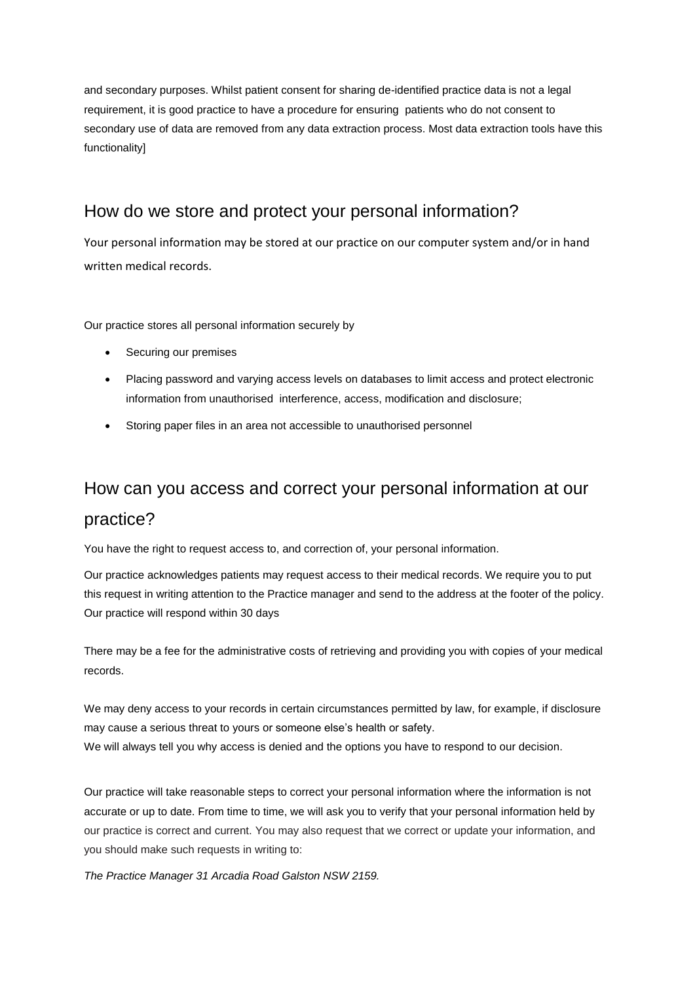and secondary purposes. Whilst patient consent for sharing de-identified practice data is not a legal requirement, it is good practice to have a procedure for ensuring patients who do not consent to secondary use of data are removed from any data extraction process. Most data extraction tools have this functionality]

#### How do we store and protect your personal information?

Your personal information may be stored at our practice on our computer system and/or in hand written medical records.

Our practice stores all personal information securely by

- Securing our premises
- Placing password and varying access levels on databases to limit access and protect electronic information from unauthorised interference, access, modification and disclosure;
- Storing paper files in an area not accessible to unauthorised personnel

### How can you access and correct your personal information at our practice?

You have the right to request access to, and correction of, your personal information.

Our practice acknowledges patients may request access to their medical records. We require you to put this request in writing attention to the Practice manager and send to the address at the footer of the policy. Our practice will respond within 30 days

There may be a fee for the administrative costs of retrieving and providing you with copies of your medical records.

We may deny access to your records in certain circumstances permitted by law, for example, if disclosure may cause a serious threat to yours or someone else's health or safety. We will always tell you why access is denied and the options you have to respond to our decision.

Our practice will take reasonable steps to correct your personal information where the information is not accurate or up to date. From time to time, we will ask you to verify that your personal information held by our practice is correct and current. You may also request that we correct or update your information, and you should make such requests in writing to:

*The Practice Manager 31 Arcadia Road Galston NSW 2159.*